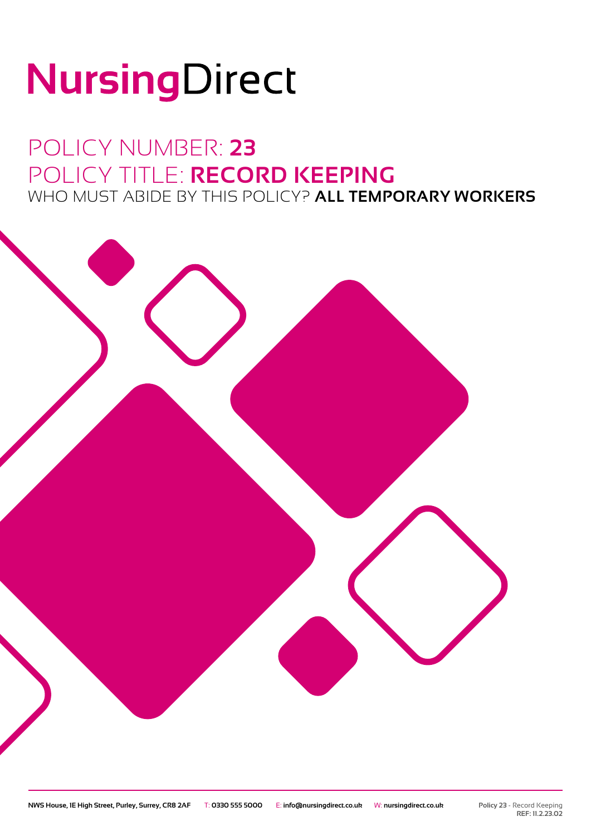# NursingDirect

### POLICY NUMBER: **23** POLICY TITLE: **RECORD KEEPING** WHO MUST ABIDE BY THIS POLICY? **ALL TEMPORARY WORKERS**